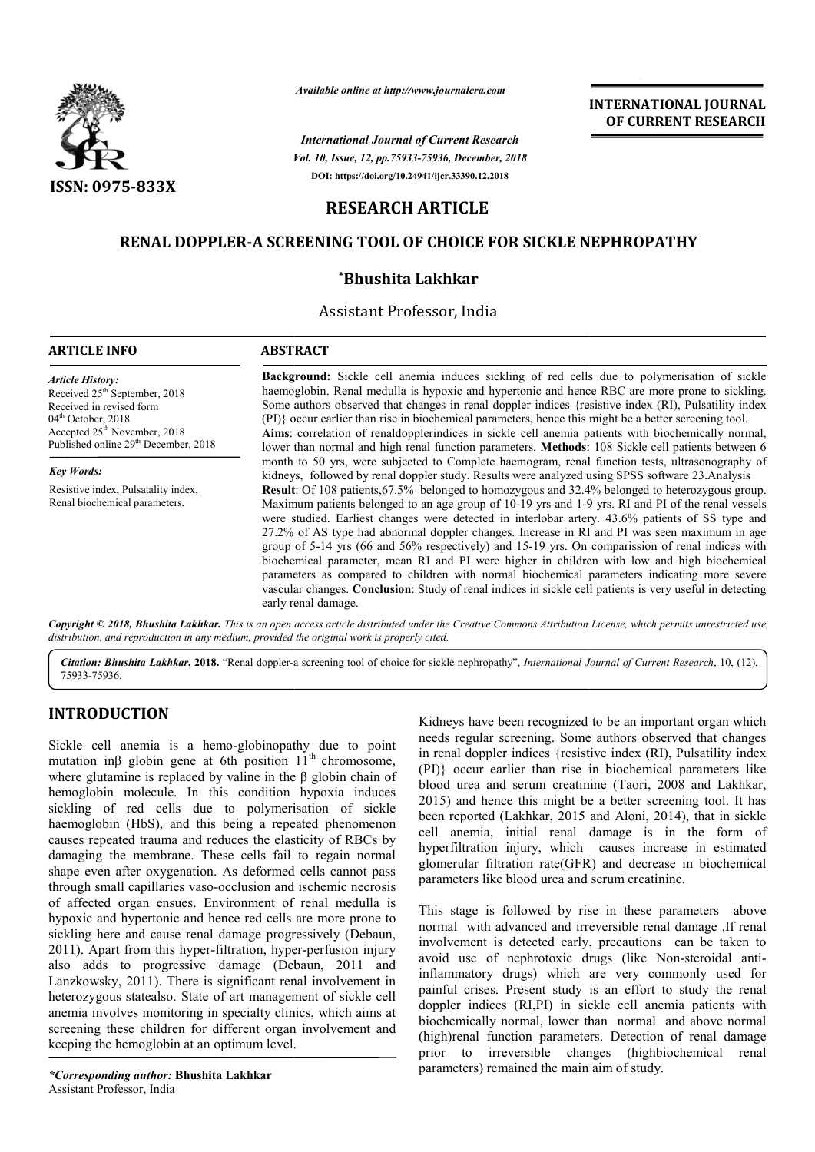

*Available online at http://www.journalcra.com*

*Vol. 10, Issue, 12, pp.75933-75936, December, 2018 International Journal of Current Research* **DOI: https://doi.org/10.24941/ijcr.33390.12.2018**

## **INTERNATIONAL JOURNAL OF CURRENT RESEARCH**

# **RESEARCH ARTICLE**

# **RENAL DOPPLER-A SCREENING TOOL OF CHOICE FOR SICKLE NEPHROPATHY A \*Bhushita Lakhkar A CHOICE FOR SICKLE NEPHROPATHY**

Assistant Professor, India

#### **ARTICLE INFO ABSTRACT Background:**  Sickle cell anemia induces sickling of red cells due to polymerisation of sickle haemoglobin. Renal medulla is hypoxic and hypertonic and hence RBC are more prone to sickling. Background: Sickle cell anemia induces sickling of red cells due to polymerisation of sickle haemoglobin. Renal medulla is hypoxic and hypertonic and hence RBC are more prone to sickling. Some authors observed that changes (PI)} occur earlier than rise in biochemical parameters, hence this might be a better screening tool. Aims: correlation of renaldopplerindices in sickle cell anemia patients with biochemically normal, lower than normal and high renal function parameters. **Methods**: 108 Sickle cell patients between 6 Aims: correlation of renaldopplerindices in sickle cell anemia patients with biochemically normal, lower than normal and high renal function parameters. Methods: 108 Sickle cell patients between 6 month to 50 yrs, were sub kidneys, followed by renal doppler study. Results were analyzed using SPSS software 23.Analysis **Result** : Of 108 patients,67.5% belonged to homozygous and 32.4% belonged to heterozygous group. Maximum patients belonged to an age group of 10 10-19 yrs and 1-9 yrs. RI and PI were studied. Earliest changes were detected in interlobar artery. 43.6% patients of SS type and were studied. Earliest changes were detected in interlobar artery. 43.6% patients of SS type and 27.2% of AS type had abnormal doppler changes. Increase in RI and PI was seen maximum in age group of 5 5-14 yrs (66 and 56% respectively) and 15-19 yrs. On comparission of renal indices with biochemical parameter, mean RI and PI were higher in children with low and high biochemical parameters as compared to children with normal biochemical parameters indicating more severe group of 5-14 yrs (66 and 56% respectively) and 15-19 yrs. On comparission of renal indices with biochemical parameter, mean RI and PI were higher in children with low and high biochemical parameters as compared to childre early renal damage. *Article History:* Received  $25<sup>th</sup>$  September, 2018 Received in revised form 04<sup>th</sup> October, 2018 Accepted  $25<sup>th</sup>$  November, 2018 Published online 29<sup>th</sup> December, 2018 *Key Words:* Resistive index, Pulsatality index, Renal biochemical parameters. Results were analyzed using SPSS software 23.Analysis<br>to homozygous and 32.4% belonged to heterozygous group.<br>oup of 10-19 yrs and 1-9 yrs. RI and PI of the renal vessels

Copyright © 2018, Bhushita Lakhkar. This is an open access article distributed under the Creative Commons Attribution License, which permits unrestricted use, *distribution, and reproduction in any medium, provided the original work is properly cited.*

Citation: Bhushita Lakhkar, 2018. "Renal doppler-a screening tool of choice for sickle nephropathy", *International Journal of Current Research*, 10, (12), 75933-75936.

### **INTRODUCTION**

Sickle cell anemia is a hemo-globinopathy due to point Sickle cell anemia is a hemo-globinopathy due to point mutation in $\beta$  globin gene at 6th position 11<sup>th</sup> chromosome, where glutamine is replaced by valine in the β globin chain of hemoglobin molecule. In this condition hypoxia induces sickling of red cells due to polymerisation of sickle haemoglobin (HbS), and this being a repeated phenomenon causes repeated trauma and reduces the elasticity of RBCs by damaging the membrane. These cells fail to regain normal shape even after oxygenation. As deformed cells cannot pass through small capillaries vaso-occlusion and ischemic necrosis of affected organ ensues. Environment of renal medulla is hypoxic and hypertonic and hence red cells are more prone to sickling here and cause renal damage progressively (Debaun, 2011). Apart from this hyper-filtration, hyper filtration, hyper-perfusion injury also adds to progressive damage (Debaun, 2011 and Lanzkowsky, 2011). There is significant renal involvement in heterozygous statealso. State of art management of sickle cell anemia involves monitoring in specialty clinics, which aims at screening these children for different organ involvement and keeping the hemoglobin at an optimum level.

Kidneys have been recognized to be an important organ which Kidneys have been recognized to be an important organ which<br>needs regular screening. Some authors observed that changes in renal doppler indices {resistive index (RI), Pulsatility index (PI)} occur earlier than rise in biochemical parameters like (PI)} occur earlier than rise in biochemical parameters like<br>blood urea and serum creatinine (Taori, 2008 and Lakhkar, 2015) and hence this might be a better screening tool. It has been reported (Lakhkar, 2015 and Aloni, 2014), that in sickle cell anemia, initial renal damage is in the form of hyperfiltration injury, which causes increase in estimated glomerular filtration rate(GFR) and decrease in biochemical parameters like blood urea and serum creatinine. cell anemia, initial renal damage is in the form of<br>hyperfiltration injury, which causes increase in estimated<br>glomerular filtration rate(GFR) and decrease in biochemical<br>parameters like blood urea and serum creatinine.<br>Th

This stage is followed by rise in these parameters above normal with advanced and irreversible renal damage .If renal avoid use of nephrotoxic drugs (like Non Non-steroidal antiinflammatory drugs) which are very commonly used for painful crises. Present study is an effort to study the renal doppler indices (RI,PI) in sickle cell anemia patients with biochemically normal, lower than normal and above normal (high)renal function parameters. Detection of renal damage prior to irreversible changes (highbiochemical renal parameters) remained the main aim of study. y drugs) which are very commonly used for<br>es. Present study is an effort to study the renal<br>ices (RI,PI) in sickle cell anemia patients with<br>ly normal, lower than normal and above normal<br>function parameters. Detection of r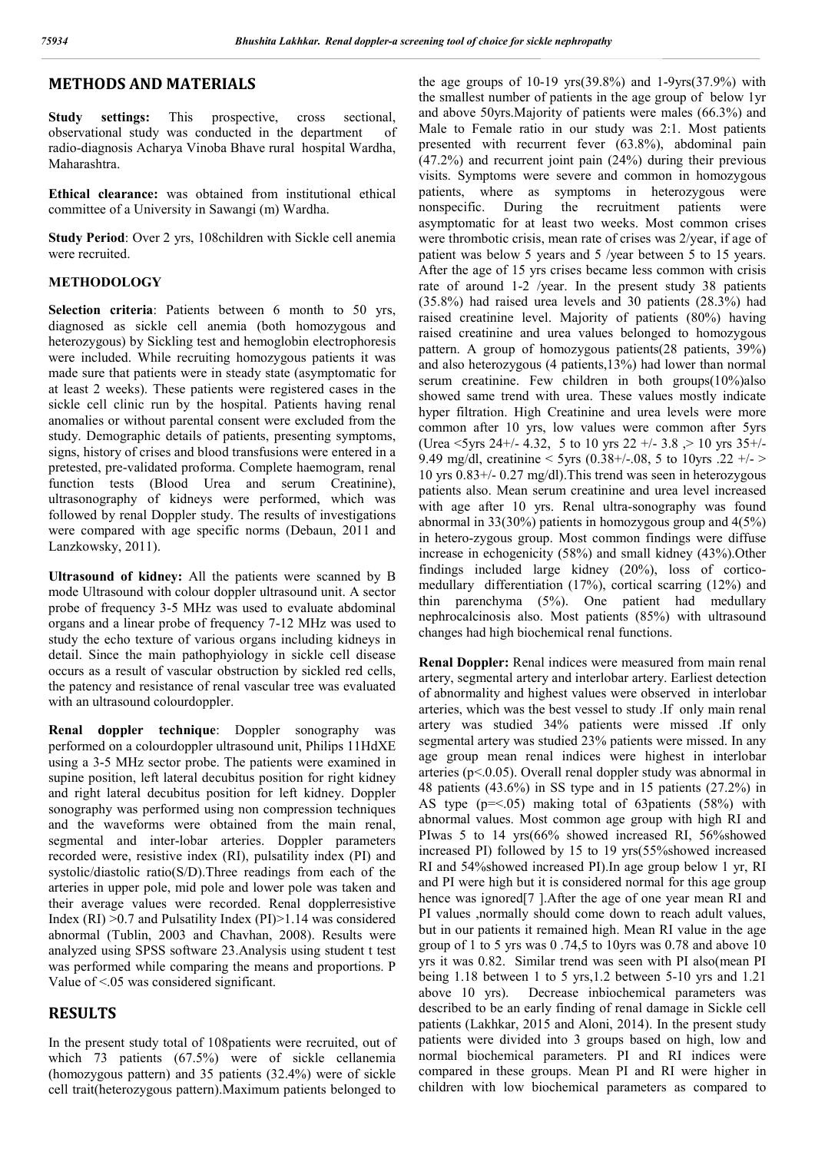### **METHODS AND MATERIALS**

**Study settings:** This prospective, cross sectional, observational study was conducted in the department of radio-diagnosis Acharya Vinoba Bhave rural hospital Wardha, Maharashtra.

**Ethical clearance:** was obtained from institutional ethical committee of a University in Sawangi (m) Wardha.

**Study Period**: Over 2 yrs, 108children with Sickle cell anemia were recruited.

#### **METHODOLOGY**

**Selection criteria**: Patients between 6 month to 50 yrs, diagnosed as sickle cell anemia (both homozygous and heterozygous) by Sickling test and hemoglobin electrophoresis were included. While recruiting homozygous patients it was made sure that patients were in steady state (asymptomatic for at least 2 weeks). These patients were registered cases in the sickle cell clinic run by the hospital. Patients having renal anomalies or without parental consent were excluded from the study. Demographic details of patients, presenting symptoms, signs, history of crises and blood transfusions were entered in a pretested, pre-validated proforma. Complete haemogram, renal function tests (Blood Urea and serum Creatinine), ultrasonography of kidneys were performed, which was followed by renal Doppler study. The results of investigations were compared with age specific norms (Debaun, 2011 and Lanzkowsky, 2011).

**Ultrasound of kidney:** All the patients were scanned by B mode Ultrasound with colour doppler ultrasound unit. A sector probe of frequency 3-5 MHz was used to evaluate abdominal organs and a linear probe of frequency 7-12 MHz was used to study the echo texture of various organs including kidneys in detail. Since the main pathophyiology in sickle cell disease occurs as a result of vascular obstruction by sickled red cells, the patency and resistance of renal vascular tree was evaluated with an ultrasound colourdoppler.

**Renal doppler technique**: Doppler sonography was performed on a colourdoppler ultrasound unit, Philips 11HdXE using a 3-5 MHz sector probe. The patients were examined in supine position, left lateral decubitus position for right kidney and right lateral decubitus position for left kidney. Doppler sonography was performed using non compression techniques and the waveforms were obtained from the main renal, segmental and inter-lobar arteries. Doppler parameters recorded were, resistive index (RI), pulsatility index (PI) and systolic/diastolic ratio(S/D).Three readings from each of the arteries in upper pole, mid pole and lower pole was taken and their average values were recorded. Renal dopplerresistive Index (RI) >0.7 and Pulsatility Index (PI)>1.14 was considered abnormal (Tublin, 2003 and Chavhan, 2008). Results were analyzed using SPSS software 23.Analysis using student t test was performed while comparing the means and proportions. P Value of <.05 was considered significant.

#### **RESULTS**

In the present study total of 108patients were recruited, out of which 73 patients (67.5%) were of sickle cellanemia (homozygous pattern) and 35 patients (32.4%) were of sickle cell trait(heterozygous pattern).Maximum patients belonged to

the age groups of 10-19 yrs(39.8%) and 1-9yrs(37.9%) with the smallest number of patients in the age group of below 1yr and above 50yrs.Majority of patients were males (66.3%) and Male to Female ratio in our study was 2:1. Most patients presented with recurrent fever (63.8%), abdominal pain (47.2%) and recurrent joint pain (24%) during their previous visits. Symptoms were severe and common in homozygous patients, where as symptoms in heterozygous were nonspecific. During the recruitment patients were asymptomatic for at least two weeks. Most common crises were thrombotic crisis, mean rate of crises was 2/year, if age of patient was below 5 years and 5 /year between 5 to 15 years. After the age of 15 yrs crises became less common with crisis rate of around 1-2 /year. In the present study 38 patients (35.8%) had raised urea levels and 30 patients (28.3%) had raised creatinine level. Majority of patients (80%) having raised creatinine and urea values belonged to homozygous pattern. A group of homozygous patients(28 patients, 39%) and also heterozygous (4 patients,13%) had lower than normal serum creatinine. Few children in both groups(10%)also showed same trend with urea. These values mostly indicate hyper filtration. High Creatinine and urea levels were more common after 10 yrs, low values were common after 5yrs (Urea  $\leq 5$ yrs 24+/- 4.32, 5 to 10 yrs 22 +/- 3.8  $> 10$  yrs 35+/-9.49 mg/dl, creatinine < 5yrs (0.38+/-.08, 5 to 10yrs .22 +/- > 10 yrs 0.83+/- 0.27 mg/dl).This trend was seen in heterozygous patients also. Mean serum creatinine and urea level increased with age after 10 yrs. Renal ultra-sonography was found abnormal in 33(30%) patients in homozygous group and 4(5%) in hetero-zygous group. Most common findings were diffuse increase in echogenicity (58%) and small kidney (43%).Other findings included large kidney (20%), loss of corticomedullary differentiation (17%), cortical scarring (12%) and thin parenchyma (5%). One patient had medullary nephrocalcinosis also. Most patients (85%) with ultrasound changes had high biochemical renal functions.

**Renal Doppler:** Renal indices were measured from main renal artery, segmental artery and interlobar artery. Earliest detection of abnormality and highest values were observed in interlobar arteries, which was the best vessel to study .If only main renal artery was studied 34% patients were missed .If only segmental artery was studied 23% patients were missed. In any age group mean renal indices were highest in interlobar arteries ( $p<0.05$ ). Overall renal doppler study was abnormal in 48 patients (43.6%) in SS type and in 15 patients (27.2%) in AS type (p=<.05) making total of 63patients (58%) with abnormal values. Most common age group with high RI and PIwas 5 to 14 yrs(66% showed increased RI, 56%showed increased PI) followed by 15 to 19 yrs(55%showed increased RI and 54%showed increased PI).In age group below 1 yr, RI and PI were high but it is considered normal for this age group hence was ignored<sup>[7]</sup>. After the age of one year mean RI and PI values ,normally should come down to reach adult values, but in our patients it remained high. Mean RI value in the age group of 1 to 5 yrs was 0 .74,5 to 10yrs was 0.78 and above 10 yrs it was 0.82. Similar trend was seen with PI also(mean PI being 1.18 between 1 to 5 yrs,1.2 between 5-10 yrs and 1.21 above 10 yrs). Decrease inbiochemical parameters was described to be an early finding of renal damage in Sickle cell patients (Lakhkar, 2015 and Aloni, 2014). In the present study patients were divided into 3 groups based on high, low and normal biochemical parameters. PI and RI indices were compared in these groups. Mean PI and RI were higher in children with low biochemical parameters as compared to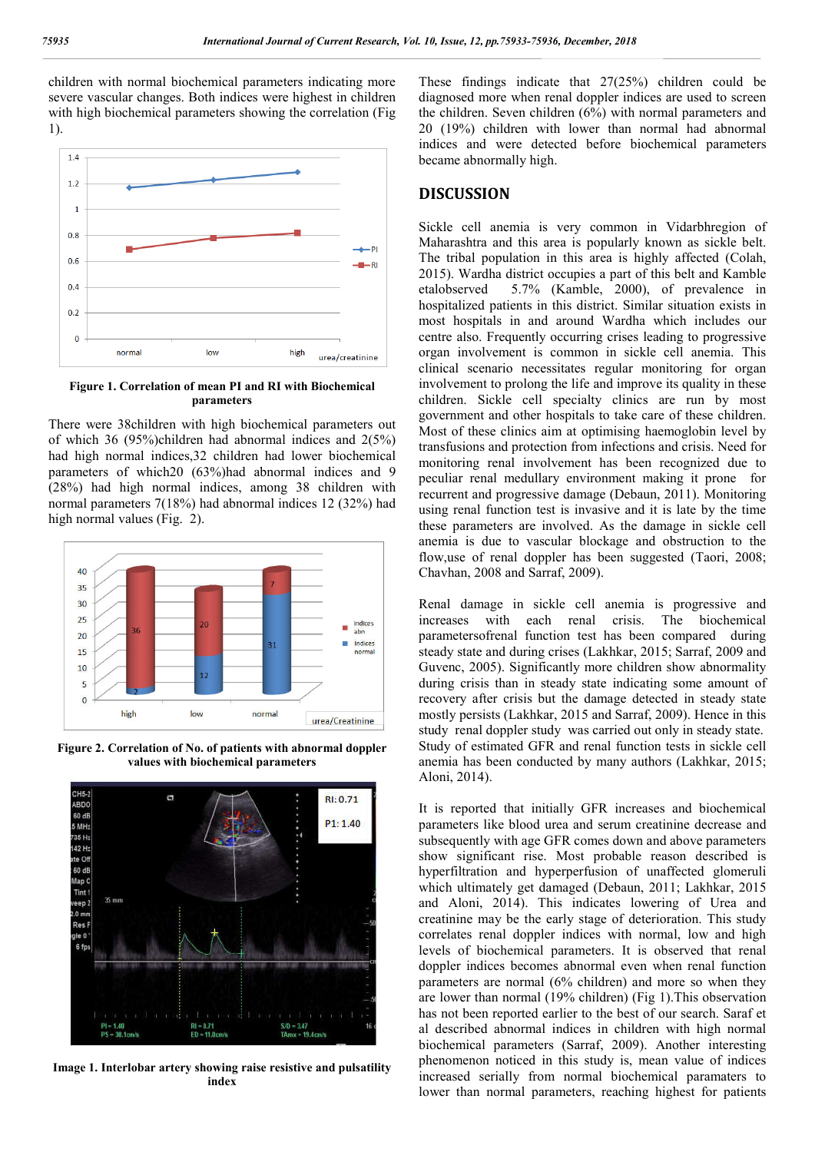children with normal biochemical parameters indicating more severe vascular changes. Both indices were highest in children with high biochemical parameters showing the correlation (Fig 1).



**Figure 1. Correlation of mean PI and RI with Biochemical parameters**

There were 38children with high biochemical parameters out of which 36 (95%)children had abnormal indices and 2(5%) had high normal indices,32 children had lower biochemical parameters of which20 (63%)had abnormal indices and 9 (28%) had high normal indices, among 38 children with normal parameters 7(18%) had abnormal indices 12 (32%) had high normal values (Fig. 2).



**Figure 2. Correlation of No. of patients with abnormal doppler values with biochemical parameters**



**Image 1. Interlobar artery showing raise resistive and pulsatility index**

These findings indicate that 27(25%) children could be diagnosed more when renal doppler indices are used to screen the children. Seven children (6%) with normal parameters and 20 (19%) children with lower than normal had abnormal indices and were detected before biochemical parameters became abnormally high.

#### **DISCUSSION**

Sickle cell anemia is very common in Vidarbhregion of Maharashtra and this area is popularly known as sickle belt. The tribal population in this area is highly affected (Colah, 2015). Wardha district occupies a part of this belt and Kamble etalobserved 5.7% (Kamble, 2000), of prevalence in hospitalized patients in this district. Similar situation exists in most hospitals in and around Wardha which includes our centre also. Frequently occurring crises leading to progressive organ involvement is common in sickle cell anemia. This clinical scenario necessitates regular monitoring for organ involvement to prolong the life and improve its quality in these children. Sickle cell specialty clinics are run by most government and other hospitals to take care of these children. Most of these clinics aim at optimising haemoglobin level by transfusions and protection from infections and crisis. Need for monitoring renal involvement has been recognized due to peculiar renal medullary environment making it prone for recurrent and progressive damage (Debaun, 2011). Monitoring using renal function test is invasive and it is late by the time these parameters are involved. As the damage in sickle cell anemia is due to vascular blockage and obstruction to the flow,use of renal doppler has been suggested (Taori, 2008; Chavhan, 2008 and Sarraf, 2009).

Renal damage in sickle cell anemia is progressive and increases with each renal crisis. The biochemical parametersofrenal function test has been compared during steady state and during crises (Lakhkar, 2015; Sarraf, 2009 and Guvenc, 2005). Significantly more children show abnormality during crisis than in steady state indicating some amount of recovery after crisis but the damage detected in steady state mostly persists (Lakhkar, 2015 and Sarraf, 2009). Hence in this study renal doppler study was carried out only in steady state. Study of estimated GFR and renal function tests in sickle cell anemia has been conducted by many authors (Lakhkar, 2015; Aloni, 2014).

It is reported that initially GFR increases and biochemical parameters like blood urea and serum creatinine decrease and subsequently with age GFR comes down and above parameters show significant rise. Most probable reason described is hyperfiltration and hyperperfusion of unaffected glomeruli which ultimately get damaged (Debaun, 2011; Lakhkar, 2015 and Aloni, 2014). This indicates lowering of Urea and creatinine may be the early stage of deterioration. This study correlates renal doppler indices with normal, low and high levels of biochemical parameters. It is observed that renal doppler indices becomes abnormal even when renal function parameters are normal (6% children) and more so when they are lower than normal (19% children) (Fig 1).This observation has not been reported earlier to the best of our search. Saraf et al described abnormal indices in children with high normal biochemical parameters (Sarraf, 2009). Another interesting phenomenon noticed in this study is, mean value of indices increased serially from normal biochemical paramaters to lower than normal parameters, reaching highest for patients